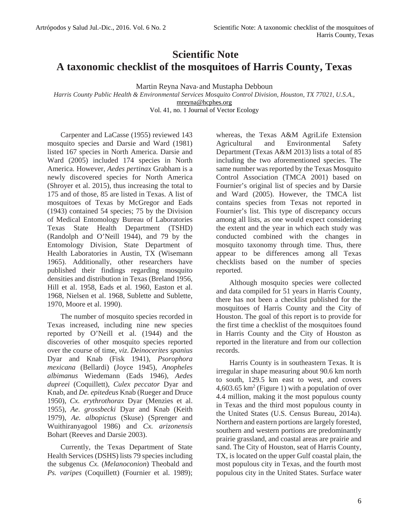## **Scientific Note A taxonomic checklist of the mosquitoes of Harris County, Texas**

Martin Reyna Nava\* and Mustapha Debboun

*Harris County Public Health & Environmental Services Mosquito Control Division, Houston, TX 77021, U.S.A.,* mreyna@hcphes.org

Vol. 41, no. 1 Journal of Vector Ecology

Carpenter and LaCasse (1955) reviewed 143 mosquito species and Darsie and Ward (1981) listed 167 species in North America. Darsie and Ward (2005) included 174 species in North America. However, *Aedes pertinax* Grabham is a newly discovered species for North America (Shroyer et al. 2015), thus increasing the total to 175 and of those, 85 are listed in Texas. A list of mosquitoes of Texas by McGregor and Eads (1943) contained 54 species; 75 by the Division of Medical Entomology Bureau of Laboratories Texas State Health Department (TSHD) (Randolph and O'Neill 1944), and 79 by the Entomology Division, State Department of Health Laboratories in Austin, TX (Wisemann 1965). Additionally, other researchers have published their findings regarding mosquito densities and distribution in Texas (Breland 1956, Hill et al. 1958, Eads et al. 1960, Easton et al. 1968, Nielsen et al. 1968, Sublette and Sublette, 1970, Moore et al. 1990).

The number of mosquito species recorded in Texas increased, including nine new species reported by O'Neill et al. (1944) and the discoveries of other mosquito species reported over the course of time, *viz*. *Deinocerites spanius* Dyar and Knab (Fisk 1941), *Psorophora mexicana* (Bellardi) (Joyce 1945), *Anopheles albimanus* Wiedemann (Eads 1946), *Aedes dupreei* (Coquillett), *Culex peccator* Dyar and Knab, and *De. epitedeus* Knab (Rueger and Druce 1950), *Cx. erythrothorax* Dyar (Menzies et al. 1955), *Ae. grossbecki* Dyar and Knab (Keith 1979), *Ae. albopictus* (Skuse) (Sprenger and Wuithiranyagool 1986) and *Cx. arizonensis* Bohart (Reeves and Darsie 2003).

Currently, the Texas Department of State Health Services (DSHS) lists 79 species including the subgenus *Cx.* (*Melanoconion*) Theobald and *Ps. varipes* (Coquillett) (Fournier et al. 1989);

whereas, the Texas A&M AgriLife Extension Agricultural and Environmental Safety Department (Texas A&M 2013) lists a total of 85 including the two aforementioned species. The same number was reported by the Texas Mosquito Control Association (TMCA 2001) based on Fournier's original list of species and by Darsie and Ward (2005). However, the TMCA list contains species from Texas not reported in Fournier's list. This type of discrepancy occurs among all lists, as one would expect considering the extent and the year in which each study was conducted combined with the changes in mosquito taxonomy through time. Thus, there appear to be differences among all Texas checklists based on the number of species reported.

Although mosquito species were collected and data compiled for 51 years in Harris County, there has not been a checklist published for the mosquitoes of Harris County and the City of Houston. The goal of this report is to provide for the first time a checklist of the mosquitoes found in Harris County and the City of Houston as reported in the literature and from our collection records.

Harris County is in southeastern Texas. It is irregular in shape measuring about 90.6 km north to south, 129.5 km east to west, and covers  $4,603.65$  km<sup>2</sup> (Figure 1) with a population of over 4.4 million, making it the most populous county in Texas and the third most populous county in the United States (U.S. Census Bureau, 2014a). Northern and eastern portions are largely forested, southern and western portions are predominantly prairie grassland, and coastal areas are prairie and sand. The City of Houston, seat of Harris County, TX, is located on the upper Gulf coastal plain, the most populous city in Texas, and the fourth most populous city in the United States. Surface water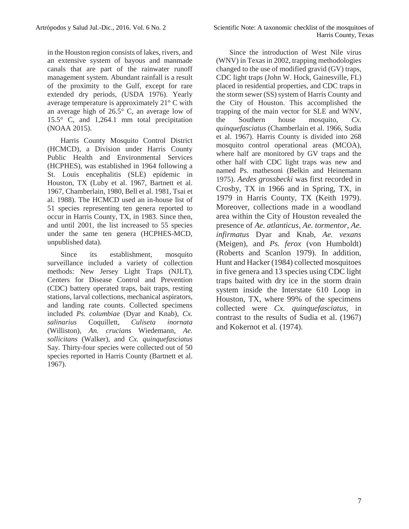in the Houston region consists of lakes, rivers, and an extensive system of bayous and manmade canals that are part of the rainwater runoff management system. Abundant rainfall is a result of the proximity to the Gulf, except for rare extended dry periods, (USDA 1976). Yearly average temperature is approximately 21° C with an average high of 26.5° C, an average low of 15.5° C, and 1,264.1 mm total precipitation (NOAA 2015).

Harris County Mosquito Control District (HCMCD), a Division under Harris County Public Health and Environmental Services (HCPHES), was established in 1964 following a St. Louis encephalitis (SLE) epidemic in Houston, TX (Luby et al. 1967, Bartnett et al. 1967, Chamberlain, 1980, Bell et al. 1981, Tsai et al. 1988). The HCMCD used an in-house list of 51 species representing ten genera reported to occur in Harris County, TX, in 1983. Since then, and until 2001, the list increased to 55 species under the same ten genera (HCPHES-MCD, unpublished data).

Since its establishment, mosquito surveillance included a variety of collection methods: New Jersey Light Traps (NJLT), Centers for Disease Control and Prevention (CDC) battery operated traps, bait traps, resting stations, larval collections, mechanical aspirators, and landing rate counts. Collected specimens included *Ps. columbiae* (Dyar and Knab)*, Cx. salinarius* Coquillett*, Culiseta inornata* (Williston)*, An. crucians* Wiedemann*, Ae. sollicitans* (Walker), and *Cx. quinquefasciatus* Say*.* Thirty-four species were collected out of 50 species reported in Harris County (Bartnett et al. 1967).

Since the introduction of West Nile virus (WNV) in Texas in 2002, trapping methodologies changed to the use of modified gravid (GV) traps, CDC light traps (John W. Hock, Gainesville, FL) placed in residential properties, and CDC traps in the storm sewer (SS) system of Harris County and the City of Houston. This accomplished the trapping of the main vector for SLE and WNV, Southern house mosquito, *Cx. quinquefasciatus* (Chamberlain et al. 1966, Sudia et al. 1967). Harris County is divided into 268 mosquito control operational areas (MCOA), where half are monitored by GV traps and the other half with CDC light traps was new and named Ps. mathesoni (Belkin and Heinemann 1975). *Aedes grossbecki* was first recorded in Crosby, TX in 1966 and in Spring, TX, in 1979 in Harris County, TX (Keith 1979). Moreover, collections made in a woodland area within the City of Houston revealed the presence of *Ae. atlanticus*, *Ae. tormentor*, *Ae. infirmatus* Dyar and Knab, *Ae. vexans* (Meigen), and *Ps. ferox* (von Humboldt) (Roberts and Scanlon 1979). In addition, Hunt and Hacker (1984) collected mosquitoes in five genera and 13 species using CDC light traps baited with dry ice in the storm drain system inside the Interstate 610 Loop in Houston, TX, where 99% of the specimens collected were *Cx. quinquefasciatus,* in contrast to the results of Sudia et al. (1967) and Kokernot et al. (1974).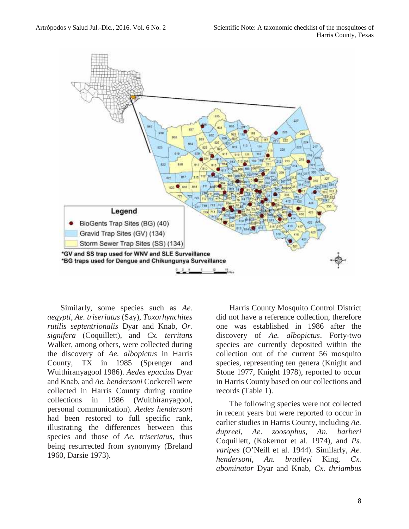

Similarly, some species such as *Ae. aegypti*, *Ae. triseriatus* (Say), *Toxorhynchites rutilis septentrionalis* Dyar and Knab, *Or. signifera* (Coquillett), and *Cx. territans* Walker, among others, were collected during the discovery of *Ae. albopictus* in Harris County, TX in 1985 (Sprenger and Wuithiranyagool 1986). *Aedes epactius* Dyar and Knab, and *Ae. hendersoni* Cockerell were collected in Harris County during routine collections in 1986 (Wuithiranyagool, personal communication). *Aedes hendersoni* had been restored to full specific rank, illustrating the differences between this species and those of *Ae. triseriatus*, thus being resurrected from synonymy (Breland 1960, Darsie 1973).

Harris County Mosquito Control District did not have a reference collection, therefore one was established in 1986 after the discovery of *Ae. albopictus*. Forty-two species are currently deposited within the collection out of the current 56 mosquito species, representing ten genera (Knight and Stone 1977, Knight 1978), reported to occur in Harris County based on our collections and records (Table 1).

The following species were not collected in recent years but were reported to occur in earlier studies in Harris County, including *Ae. dupreei*, *Ae. zoosophus*, *An. barberi* Coquillett, (Kokernot et al. 1974), and *Ps. varipes* (O'Neill et al. 1944). Similarly, *Ae. hendersoni*, *An. bradleyi* King*, Cx. abominator* Dyar and Knab, *Cx. thriambus*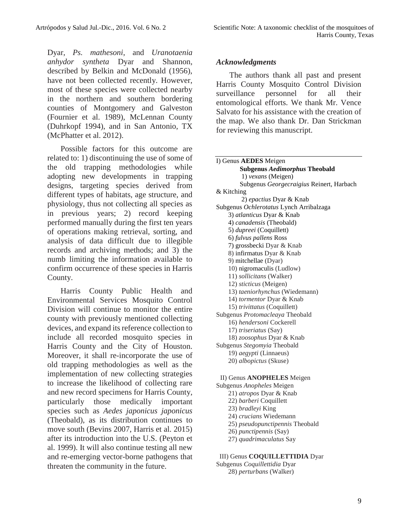Dyar, *Ps. mathesoni*, and *Uranotaenia anhydor syntheta* Dyar and Shannon, described by Belkin and McDonald (1956), have not been collected recently. However, most of these species were collected nearby in the northern and southern bordering counties of Montgomery and Galveston (Fournier et al. 1989), McLennan County (Duhrkopf 1994), and in San Antonio, TX (McPhatter et al. 2012).

Possible factors for this outcome are related to: 1) discontinuing the use of some of the old trapping methodologies while adopting new developments in trapping designs, targeting species derived from different types of habitats, age structure, and physiology, thus not collecting all species as in previous years; 2) record keeping performed manually during the first ten years of operations making retrieval, sorting, and analysis of data difficult due to illegible records and archiving methods; and 3) the numb limiting the information available to confirm occurrence of these species in Harris County.

Harris County Public Health and Environmental Services Mosquito Control Division will continue to monitor the entire county with previously mentioned collecting devices, and expand its reference collection to include all recorded mosquito species in Harris County and the City of Houston. Moreover, it shall re-incorporate the use of old trapping methodologies as well as the implementation of new collecting strategies to increase the likelihood of collecting rare and new record specimens for Harris County, particularly those medically important species such as *Aedes japonicus japonicus* (Theobald), as its distribution continues to move south (Bevins 2007, Harris et al. 2015) after its introduction into the U.S. (Peyton et al. 1999). It will also continue testing all new and re-emerging vector-borne pathogens that threaten the community in the future.

## *Acknowledgments*

The authors thank all past and present Harris County Mosquito Control Division surveillance personnel for all their entomological efforts. We thank Mr. Vence Salvato for his assistance with the creation of the map. We also thank Dr. Dan Strickman for reviewing this manuscript.

## I) Genus **AEDES** Meigen **Subgenus** *Aedimorphus* **Theobald** 1) *vexans* (Meigen) Subgenus *Georgecraigius* Reinert, Harbach & Kitching 2) *epactius* Dyar & Knab Subgenus *Ochlerotatus* Lynch Arribalzaga 3) *atlanticus* Dyar & Knab 4) *canadensis* (Theobald) 5) *dupreei* (Coquillett) 6) *fulvus pallens* Ross 7) grossbecki Dyar & Knab 8) infirmatus Dyar & Knab 9) mitchellae (Dyar) 10) nigromaculis (Ludlow) 11) *sollicitans* (Walker) 12) *sticticus* (Meigen) 13) *taeniorhynchus* (Wiedemann) 14) *tormentor* Dyar & Knab 15) *trivittatus* (Coquillett) Subgenus *Protomacleaya* Theobald 16) *hendersoni* Cockerell 17) *triseriatus* (Say) 18) *zoosophus* Dyar & Knab Subgenus *Stegomyia* Theobald 19) *aegypti* (Linnaeus) 20) *albopictus* (Skuse)

II) Genus **ANOPHELES** Meigen Subgenus *Anopheles* Meigen 21) *atropos* Dyar & Knab 22) *barberi* Coquillett 23) *bradleyi* King 24) *crucians* Wiedemann 25) *pseudopunctipennis* Theobald 26) *punctipennis* (Say) 27) *quadrimaculatus* Say

III) Genus **COQUILLETTIDIA** Dyar Subgenus *Coquillettidia* Dyar 28) *perturbans* (Walker)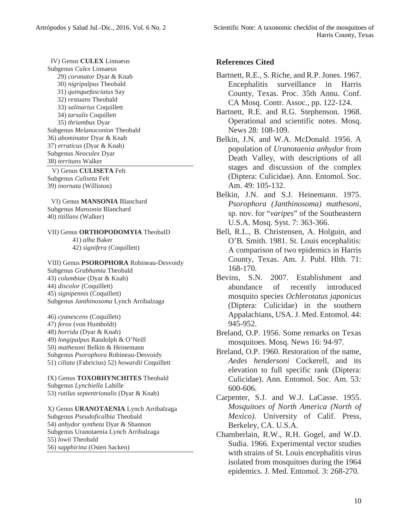IV) Genus **CULEX** Linnaeus Subgenus *Culex* Linnaeus 29) *coronator* Dyar & Knab 30) *nigripalpus* Theobald 31) *quinquefasciatus* Say 32) *restuans* Theobald 33) *salinarius* Coquillett 34) *tarsalis* Coquillett 35) *thriambus* Dyar Subgenus *Melanoconion* Theobald 36) *abominator* Dyar & Knab 37) *erraticus* (Dyar & Knab) Subgenus *Neoculex* Dyar 38) *territans* Walker

V) Genus **CULISETA** Felt Subgenus *Culiseta* Felt 39) *inornata* (Williston)

VI) Genus **MANSONIA** Blanchard Subgenus *Mansonia* Blanchard 40) *titillans* (Walker)

VII) Genus **ORTHOPODOMYIA** TheobalD

41) *alba* Baker 42) *signifera* (Coquillett)

VIII) Genus **PSOROPHORA** Robineau-Desvoidy Subgenus *Grabhamia* Theobald 43) *columbiae* (Dyar & Knab) 44) *discolor* (Coquillett) 45) *signipennis* (Coquillett) Subgenus *Janthinosoma* Lynch Arribalzaga

46) *cyanescens* (Coquillett) 47) *ferox* (von Humboldt) 48) *horrida* (Dyar & Knab) 49) *longipalpus* Randolph & O'Neill 50) *mathesoni* Belkin & Heinemann Subgenus *Psorophora* Robineau-Desvoidy 51) *ciliata* (Fabricius) 52) *howardii* Coquillett

IX) Genus **TOXORHYNCHITES** Theobald Subgenus *Lynchiella* Lahille 53) *rutilus septentrionalis* (Dyar & Knab)

X) Genus **URANOTAENIA** Lynch Arribalzaga Subgenus *Pseudoficalbia* Theobald 54) *anhydor syntheta* Dyar & Shannon Subgenus Uranotaenia Lynch Arribalzaga 55) *lowii* Theobald 56) *sapphirina* (Osten Sacken)

## **References Cited**

- Bartnett, R.E., S. Riche, and R.P. Jones. 1967. Encephalitis surveillance in Harris County, Texas. Proc. 35th Annu. Conf. CA Mosq. Contr. Assoc., pp. 122-124.
- Bartnett, R.E. and R.G. Stephenson. 1968. Operational and scientific notes. Mosq. News 28: 108-109.
- Belkin, J.N. and W.A. McDonald. 1956. A population of *Uranotaenia anhydor* from Death Valley, with descriptions of all stages and discussion of the complex (Diptera: Culicidae). Ann. Entomol. Soc. Am. 49: 105-132.
- Belkin, J.N. and S.J. Heinemann. 1975. *Psorophora (Janthinosoma) mathesoni*, sp. nov. for "*varipes*" of the Southeastern U.S.A. Mosq. Syst. 7: 363-366.
- Bell, R.L., B. Christensen, A. Holguin, and O'B. Smith. 1981. St. Louis encephalitis: A comparison of two epidemics in Harris County, Texas. Am. J. Publ. Hlth. 71: 168-170.
- Bevins, S.N. 2007. Establishment and abundance of recently introduced mosquito species *Ochlerotatus japonicus* (Diptera: Culicidae) in the southern Appalachians, USA. J. Med. Entomol. 44: 945-952.
- Breland, O.P. 1956. Some remarks on Texas mosquitoes. Mosq. News 16: 94-97.
- Breland, O.P. 1960. Restoration of the name, *Aedes hendersoni* Cockerell, and its elevation to full specific rank (Diptera: Culicidae). Ann. Entomol. Soc. Am. 53*:* 600-606.
- Carpenter, S.J. and W.J. LaCasse. 1955. *Mosquitoes of North America (North of Mexico).* University of Calif. Press, Berkeley, CA. U.S.A.
- Chamberlain, R.W., R.H. Gogel, and W.D. Sudia. 1966. Experimental vector studies with strains of St. Louis encephalitis virus isolated from mosquitoes during the 1964 epidemics. J. Med. Entomol*.* 3: 268-270.